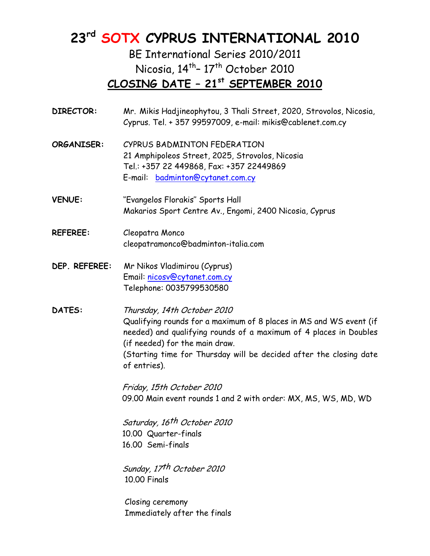# **23rd SOTX CYPRUS INTERNATIONAL 2010**

BE International Series 2010/2011 Nicosia,  $14$ <sup>th</sup>-  $17$ <sup>th</sup> October 2010 **CLOSING DATE – 21st SEPTEMBER 2010**

| <b>DIRECTOR:</b> | Mr. Mikis Hadjineophytou, 3 Thali Street, 2020, Strovolos, Nicosia,<br>Cyprus. Tel. + 357 99597009, e-mail: mikis@cablenet.com.cy                                                                                                                                                              |
|------------------|------------------------------------------------------------------------------------------------------------------------------------------------------------------------------------------------------------------------------------------------------------------------------------------------|
| ORGANISER:       | CYPRUS BADMINTON FEDERATION<br>21 Amphipoleos Street, 2025, Strovolos, Nicosia<br>Tel.: +357 22 449868, Fax: +357 22449869<br>E-mail: badminton@cytanet.com.cy                                                                                                                                 |
| <b>VENUE:</b>    | "Evangelos Florakis" Sports Hall<br>Makarios Sport Centre Av., Engomi, 2400 Nicosia, Cyprus                                                                                                                                                                                                    |
| <b>REFEREE:</b>  | Cleopatra Monco<br>cleopatramonco@badminton-italia.com                                                                                                                                                                                                                                         |
| DEP. REFEREE:    | Mr Nikos Vladimirou (Cyprus)<br>Email: nicosv@cytanet.com.cy<br>Telephone: 0035799530580                                                                                                                                                                                                       |
| DATES:           | Thursday, 14th October 2010<br>Qualifying rounds for a maximum of 8 places in MS and WS event (if<br>needed) and qualifying rounds of a maximum of 4 places in Doubles<br>(if needed) for the main draw.<br>(Starting time for Thursday will be decided after the closing date<br>of entries). |
|                  | Friday, 15th October 2010<br>09.00 Main event rounds 1 and 2 with order: MX, MS, WS, MD, WD                                                                                                                                                                                                    |
|                  | Saturday, 16 <sup>th</sup> October 2010<br>10.00 Quarter-finals<br>16.00 Semi-finals                                                                                                                                                                                                           |
|                  | Sunday, 17th October 2010<br>10.00 Finals                                                                                                                                                                                                                                                      |
|                  | Closing ceremony<br>Immediately after the finals                                                                                                                                                                                                                                               |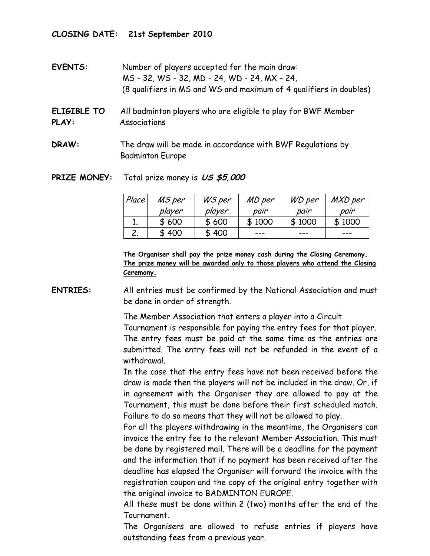#### **CLOSING DATE: 21st September 2010**

- **EVENTS:** Number of players accepted for the main draw: MS - 32, WS - 32, MD - 24, WD - 24, MX – 24, (8 qualifiers in MS and WS and maximum of 4 qualifiers in doubles)
- **ELIGIBLE TO** All badminton players who are eligible to play for BWF Member **PLAY:** Associations
- **DRAW:** The draw will be made in accordance with BWF Regulations by Badminton Europe

#### **PRIZE MONEY:** Total prize money is **US \$5,000**

| Place | MS per | WS per | MD per | WD per | MXD per |
|-------|--------|--------|--------|--------|---------|
|       | player | player | pair   | pair   | pair    |
|       | \$600  | \$600  | \$1000 | \$1000 | \$1000  |
|       | \$400  | \$400  | ---    | ---    | ---     |

**The Organiser shall pay the prize money cash during the Closing Ceremony. The prize money will be awarded only to those players who attend the Closing Ceremony.**

 **ENTRIES:** All entries must be confirmed by the National Association and must be done in order of strength.

> The Member Association that enters a player into a Circuit Tournament is responsible for paying the entry fees for that player. The entry fees must be paid at the same time as the entries are submitted. The entry fees will not be refunded in the event of a withdrawal.

> In the case that the entry fees have not been received before the draw is made then the players will not be included in the draw. Or, if in agreement with the Organiser they are allowed to pay at the Tournament, this must be done before their first scheduled match. Failure to do so means that they will not be allowed to play.

> For all the players withdrawing in the meantime, the Organisers can invoice the entry fee to the relevant Member Association. This must be done by registered mail. There will be a deadline for the payment and the information that if no payment has been received after the deadline has elapsed the Organiser will forward the invoice with the registration coupon and the copy of the original entry together with the original invoice to BADMINTON EUROPE.

> All these must be done within 2 (two) months after the end of the Tournament.

> The Organisers are allowed to refuse entries if players have outstanding fees from a previous year.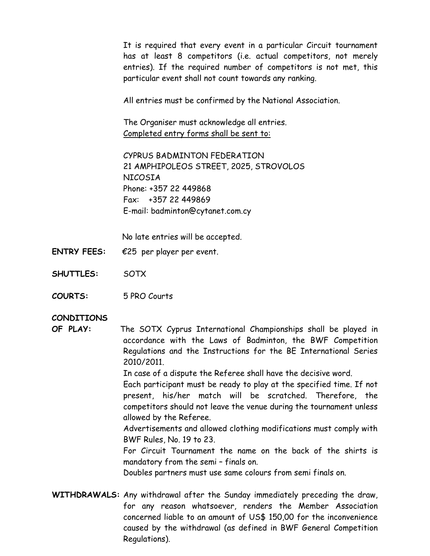It is required that every event in a particular Circuit tournament has at least 8 competitors (i.e. actual competitors, not merely entries). If the required number of competitors is not met, this particular event shall not count towards any ranking.

All entries must be confirmed by the National Association.

 The Organiser must acknowledge all entries. Completed entry forms shall be sent to:

CYPRUS BADMINTON FEDERATION 21 AMPHIPOLEOS STREET, 2025, STROVOLOS NICOSIA Phone: +357 22 449868 Fax: +357 22 449869 E-mail: badminton@cytanet.com.cy

No late entries will be accepted.

- **ENTRY FEES:** €25 per player per event.
- **SHUTTLES:** SOTX
- **COURTS:** 5 PRO Courts

#### **CONDITIONS**

 **OF PLAY:** The SOTX Cyprus International Championships shall be played in accordance with the Laws of Badminton, the BWF Competition Regulations and the Instructions for the BE International Series 2010/2011.

In case of a dispute the Referee shall have the decisive word.

Each participant must be ready to play at the specified time. If not present, his/her match will be scratched. Therefore, the competitors should not leave the venue during the tournament unless allowed by the Referee.

 Advertisements and allowed clothing modifications must comply with BWF Rules, No. 19 to 23.

 For Circuit Tournament the name on the back of the shirts is mandatory from the semi – finals on.

Doubles partners must use same colours from semi finals on.

**WITHDRAWALS:** Any withdrawal after the Sunday immediately preceding the draw, for any reason whatsoever, renders the Member Association concerned liable to an amount of US\$ 150,00 for the inconvenience caused by the withdrawal (as defined in BWF General Competition Regulations).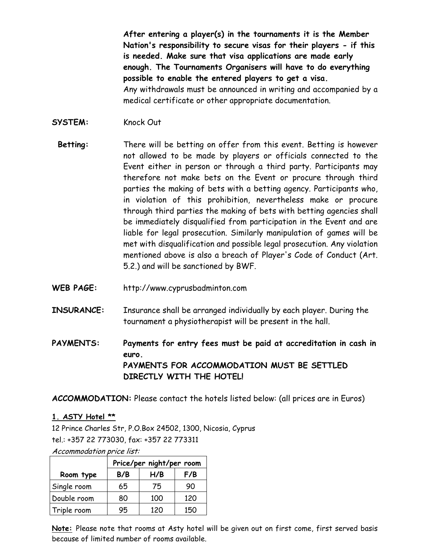**After entering a player(s) in the tournaments it is the Member Nation's responsibility to secure visas for their players - if this is needed. Make sure that visa applications are made early enough. The Tournaments Organisers will have to do everything possible to enable the entered players to get a visa.**  Any withdrawals must be announced in writing and accompanied by a medical certificate or other appropriate documentation.

- SYSTEM: Knock Out
	- **Betting:** There will be betting on offer from this event. Betting is however not allowed to be made by players or officials connected to the Event either in person or through a third party. Participants may therefore not make bets on the Event or procure through third parties the making of bets with a betting agency. Participants who, in violation of this prohibition, nevertheless make or procure through third parties the making of bets with betting agencies shall be immediately disqualified from participation in the Event and are liable for legal prosecution. Similarly manipulation of games will be met with disqualification and possible legal prosecution. Any violation mentioned above is also a breach of Player's Code of Conduct (Art. 5.2.) and will be sanctioned by BWF.
- **WEB PAGE:** http://www.cyprusbadminton.com
- **INSURANCE:** Insurance shall be arranged individually by each player. During the tournament a physiotherapist will be present in the hall.

**PAYMENTS: Payments for entry fees must be paid at accreditation in cash in euro. PAYMENTS FOR ACCOMMODATION MUST BE SETTLED DIRECTLY WITH THE HOTEL!** 

**ACCOMMODATION:** Please contact the hotels listed below: (all prices are in Euros)

#### **1. ASTY Hotel \*\***

12 Prince Charles Str, P.O.Box 24502, 1300, Nicosia, Cyprus tel.: +357 22 773030, fax: +357 22 773311

Accommodation price list:

|             | Price/per night/per room |     |     |  |  |  |  |
|-------------|--------------------------|-----|-----|--|--|--|--|
| Room type   | B/B                      | H/B | F/B |  |  |  |  |
| Single room | 65                       | 75  | 90  |  |  |  |  |
| Double room | 80                       | 100 | 120 |  |  |  |  |
| Triple room | 95                       | 120 | 150 |  |  |  |  |

**Note:** Please note that rooms at Asty hotel will be given out on first come, first served basis because of limited number of rooms available.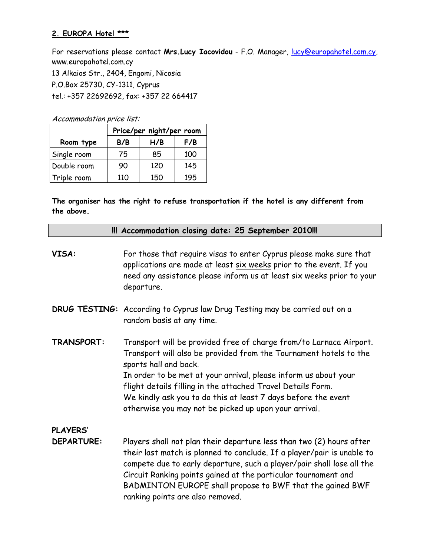#### **2. EUROPA Hotel \*\*\***

For reservations please contact **Mrs.Lucy Iacovidou** - F.O. Manager, lucy@europahotel.com.cy, www.europahotel.com.cy 13 Alkaios Str., 2404, Engomi, Nicosia P.O.Box 25730, CY-1311, Cyprus tel.: +357 22692692, fax: +357 22 664417

Accommodation price list:

|             | Price/per night/per room |     |     |  |  |  |  |  |
|-------------|--------------------------|-----|-----|--|--|--|--|--|
| Room type   | B/B                      | H/B | F/B |  |  |  |  |  |
| Single room | 75                       | 85  | 100 |  |  |  |  |  |
| Double room | 90                       | 120 | 145 |  |  |  |  |  |
| Triple room | 110                      | 150 | 195 |  |  |  |  |  |

**The organiser has the right to refuse transportation if the hotel is any different from the above.** 

|                   | !!! Accommodation closing date: 25 September 2010!!!                                                                                                                                                                                                                                                                                                                                                                         |
|-------------------|------------------------------------------------------------------------------------------------------------------------------------------------------------------------------------------------------------------------------------------------------------------------------------------------------------------------------------------------------------------------------------------------------------------------------|
| VISA:             | For those that require visas to enter Cyprus please make sure that<br>applications are made at least six weeks prior to the event. If you<br>need any assistance please inform us at least six weeks prior to your<br>departure.                                                                                                                                                                                             |
|                   | DRUG TESTING: According to Cyprus law Drug Testing may be carried out on a<br>random basis at any time.                                                                                                                                                                                                                                                                                                                      |
| TRANSPORT:        | Transport will be provided free of charge from/to Larnaca Airport.<br>Transport will also be provided from the Tournament hotels to the<br>sports hall and back.<br>In order to be met at your arrival, please inform us about your<br>flight details filling in the attached Travel Details Form.<br>We kindly ask you to do this at least 7 days before the event<br>otherwise you may not be picked up upon your arrival. |
| <b>PLAYERS'</b>   |                                                                                                                                                                                                                                                                                                                                                                                                                              |
| <b>DEPARTURE:</b> | Players shall not plan their departure less than two (2) hours after<br>their last match is planned to conclude. If a player/pair is unable to<br>compete due to early departure, such a player/pair shall lose all the<br>Circuit Ranking points gained at the particular tournament and<br>BADMINTON EUROPE shall propose to BWF that the gained BWF<br>ranking points are also removed.                                   |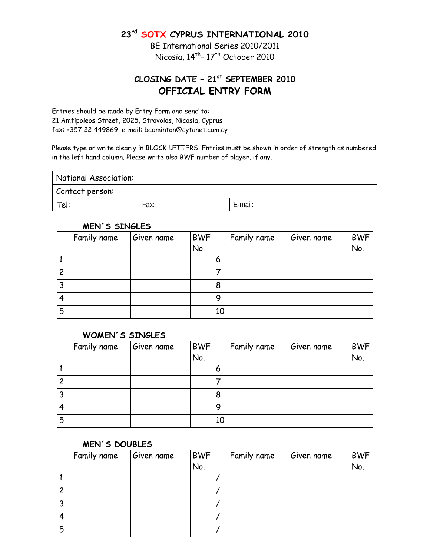**23rd SOTX CYPRUS INTERNATIONAL 2010** 

BE International Series 2010/2011 Nicosia, 14<sup>th</sup>-17<sup>th</sup> October 2010

## **CLOSING DATE – 21st SEPTEMBER 2010 OFFICIAL ENTRY FORM**

Entries should be made by Entry Form and send to: 21 Amfipoleos Street, 2025, Strovolos, Nicosia, Cyprus fax: +357 22 449869, e-mail: badminton@cytanet.com.cy

Please type or write clearly in BLOCK LETTERS. Entries must be shown in order of strength as numbered in the left hand column. Please write also BWF number of player, if any.

| National Association: |      |         |
|-----------------------|------|---------|
| Contact person:       |      |         |
| Tel:                  | Fax: | E-mail: |

#### **MEN´S SINGLES**

|   | Family name | Given name | <b>BWF</b> |    | Family name | Given name | <b>BWF</b> |
|---|-------------|------------|------------|----|-------------|------------|------------|
|   |             |            | No.        |    |             |            | No.        |
|   |             |            |            | 6  |             |            |            |
| 2 |             |            |            |    |             |            |            |
| 3 |             |            |            | 8  |             |            |            |
|   |             |            |            | 9  |             |            |            |
| 5 |             |            |            | 10 |             |            |            |
|   |             |            |            |    |             |            |            |

#### **WOMEN´S SINGLES**

|   | Family name | Given name | <b>BWF</b><br>No. |    | Family name | Given name | BWF<br>No. |
|---|-------------|------------|-------------------|----|-------------|------------|------------|
|   |             |            |                   | 6  |             |            |            |
| 2 |             |            |                   |    |             |            |            |
| 3 |             |            |                   | 8  |             |            |            |
| 4 |             |            |                   | 9  |             |            |            |
| 5 |             |            |                   | 10 |             |            |            |

#### **MEN´S DOUBLES**

|   | Family name | Given name | <b>BWF</b> | Family name | Given name | <b>BWF</b> |
|---|-------------|------------|------------|-------------|------------|------------|
|   |             |            | No.        |             |            | No.        |
|   |             |            |            |             |            |            |
| 2 |             |            |            |             |            |            |
|   |             |            |            |             |            |            |
| 4 |             |            |            |             |            |            |
| 5 |             |            |            |             |            |            |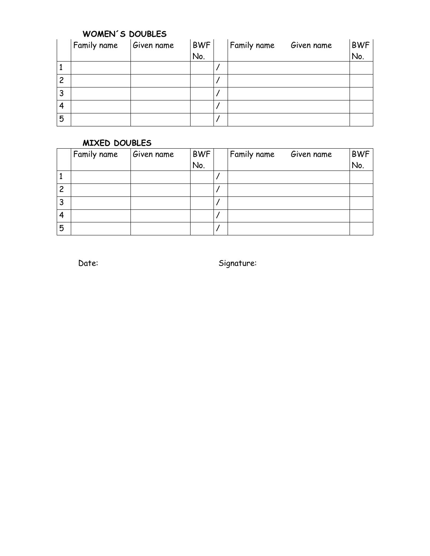### **WOMEN´S DOUBLES**

|   | Family name | Given name | <b>BWF</b><br>No. | Family name | Given name | <b>BWF</b><br>No. |
|---|-------------|------------|-------------------|-------------|------------|-------------------|
|   |             |            |                   |             |            |                   |
| 2 |             |            |                   |             |            |                   |
| 3 |             |            |                   |             |            |                   |
| 4 |             |            |                   |             |            |                   |
| 5 |             |            |                   |             |            |                   |

## **MIXED DOUBLES**

|        | Family name | Given name | <b>BWF</b> | Family name | Given name | <b>BWF</b> |
|--------|-------------|------------|------------|-------------|------------|------------|
|        |             |            | No.        |             |            | No.        |
|        |             |            |            |             |            |            |
| 2      |             |            |            |             |            |            |
| 2<br>J |             |            |            |             |            |            |
| 4      |             |            |            |             |            |            |
| 5      |             |            |            |             |            |            |

Date: Signature: